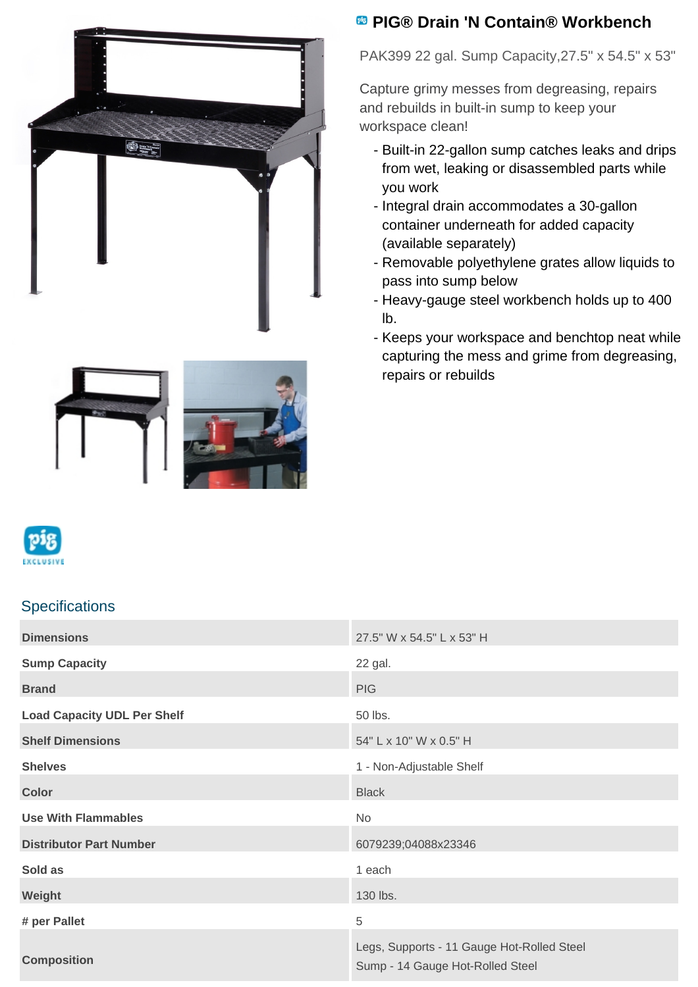

## **PIG® Drain 'N Contain® Workbench**

PAK399 22 gal. Sump Capacity,27.5" x 54.5" x 53"

Capture grimy messes from degreasing, repairs and rebuilds in built-in sump to keep your workspace clean!

- Built-in 22-gallon sump catches leaks and drips from wet, leaking or disassembled parts while you work
- Integral drain accommodates a 30-gallon container underneath for added capacity (available separately)
- Removable polyethylene grates allow liquids to pass into sump below
- Heavy-gauge steel workbench holds up to 400 lb.
- Keeps your workspace and benchtop neat while capturing the mess and grime from degreasing, repairs or rebuilds







## **Specifications**

| <b>Dimensions</b>                  | 27.5" W x 54.5" L x 53" H                                                      |
|------------------------------------|--------------------------------------------------------------------------------|
| <b>Sump Capacity</b>               | 22 gal.                                                                        |
| <b>Brand</b>                       | <b>PIG</b>                                                                     |
| <b>Load Capacity UDL Per Shelf</b> | 50 lbs.                                                                        |
| <b>Shelf Dimensions</b>            | 54" L x 10" W x 0.5" H                                                         |
| <b>Shelves</b>                     | 1 - Non-Adjustable Shelf                                                       |
| <b>Color</b>                       | <b>Black</b>                                                                   |
| <b>Use With Flammables</b>         | No                                                                             |
| <b>Distributor Part Number</b>     | 6079239;04088x23346                                                            |
| Sold as                            | 1 each                                                                         |
| Weight                             | 130 lbs.                                                                       |
| # per Pallet                       | 5                                                                              |
| <b>Composition</b>                 | Legs, Supports - 11 Gauge Hot-Rolled Steel<br>Sump - 14 Gauge Hot-Rolled Steel |